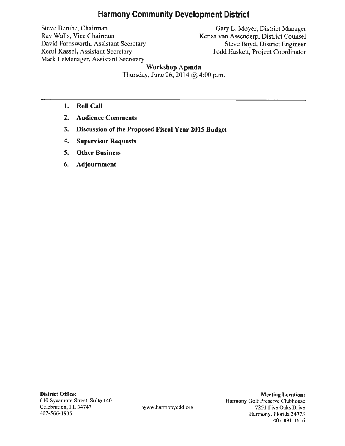# **Harmony Community Development District**

Steve Berube, Chairman Ray Walls, Vice Chairman David Farnsworth, Assistant Secretary Kerul Kassel, Assistant Secretary Mark LeMenager, Assistant Secretary

Gary L. Moyer, District Manager Kenza van Assenderp, District Counsel Steve Boyd, District Engineer Todd Haskett, Project Coordinator

# **Workshop Agenda**

Thursday, June 26, 2014  $\omega$  4:00 p.m.

- **1. Roll Call**
- **2. Audience Comments**
- **3. Discussion of the Proposed Fiscal Year 2015 Budget**
- **4. Supervisor Requests**
- **5. Other Business**
- **6. Adjournment**

**District Office:**  610 Sycamore Street, Suite 140 Celebration, FL 34747 407-566-1935

www.harmonycdd.org

**Meeting Location:**  Harmony Golf Preserve Clubhouse 7251 Five Oaks Drive Harmony, Florida 34773 407-891-1616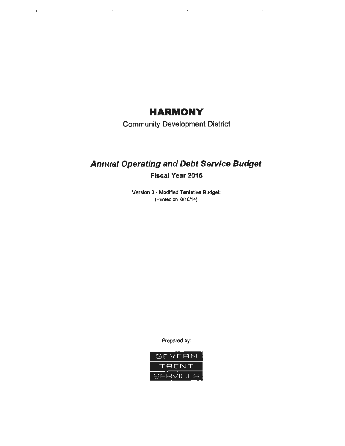# **HARMONY**

 $\mathcal{L}^{\pm}$ 

 $\bar{z}$ 

 $\mathbf{r}$ 

 $\sim$   $\alpha$ 

Community Development District

# **Annual Operating and Debt Service Budget Fiscal Year 2015**

Version 3 - Modified Tentative Budget: (Printed on 6/10/14)

Prepared by:

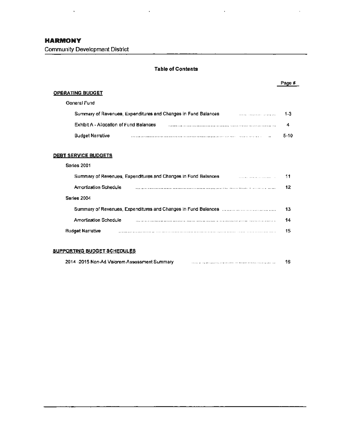### **Table of Contents**

#### Page# **OPERATING BUDGET** General Fund Summary of Revenues, Expenditures and Changes in Fund Balances 1-3 Exhibit A - Allocation of Fund Balances 4 Budget Narrative 5-10 **DEBT SERVICE BUDGETS**  Series 2001 Summary of Revenues, Expenditures and Changes in Fund Balances 11  $\label{eq:2} \begin{minipage}{0.9\textwidth} \begin{minipage}{0.9\textwidth} \centering \begin{minipage}{0.9\textwidth} \centering \end{minipage} \begin{minipage}{0.9\textwidth} \centering \end{minipage} \begin{minipage}{0.9\textwidth} \centering \begin{minipage}{0.9\textwidth} \centering \end{minipage} \begin{minipage}{0.9\textwidth} \centering \end{minipage} \begin{minipage}{0.9\textwidth} \centering \end{minipage} \begin{minipage}{0.9\textwidth} \centering \end{minipage} \begin{minipage}{0.9\textwidth} \centering \end{min$ Amortization Schedule 12 **Series** 2004 Summary of Revenues, Expenditures and Changes in Fund Balances 13 Amortization Schedule 14 Budget Narrative 15

#### **SUPPORTING BUDGET SCHEDULES**

| 2014 -2015 Non-Ad Valorem Assessment Summary |  |  |
|----------------------------------------------|--|--|
|----------------------------------------------|--|--|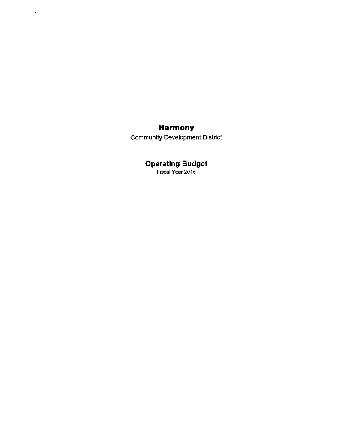# **Harmony**

 $\sim 10$ 

 $\sim$   $\sim$ 

 $\mathbf{r}^{\prime}$ 

 $\sim$ 

Community Development District

# **Operating Budget**

Fiscal Year 2015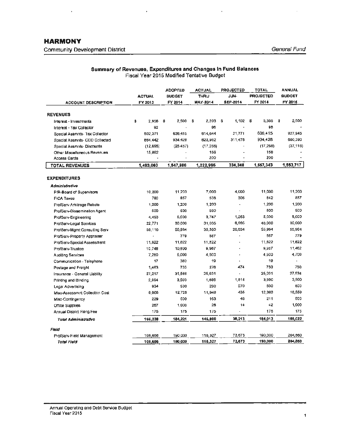$\bar{\nu}$ 

| Summary of Revenues, Expenditures and Changes In Fund Balances |  |
|----------------------------------------------------------------|--|
| Fiscal Year 2015 Modified Tentative Budget                     |  |

à.

 $\overline{\phantom{a}}$ 

| ACCOUNT DESCRIPTION               | <b>ACTUAL</b><br>FY 2013 |      | <b>ADOPTED</b><br><b>BUDGET</b><br>FY 2014 |      | <b>ACTUAL</b><br><b>THRU</b><br><b>MAY-2014</b> |   | <b>PROJECTED</b><br>JUN-<br>SEP-2014 | TOTAL<br><b>PROJECTED</b><br>FY 2014 |   | <b>ANNUAL</b><br><b>BUDOET</b><br>FY 2016 |
|-----------------------------------|--------------------------|------|--------------------------------------------|------|-------------------------------------------------|---|--------------------------------------|--------------------------------------|---|-------------------------------------------|
|                                   |                          |      |                                            |      |                                                 |   |                                      |                                      |   |                                           |
| <b>REVENUES</b>                   |                          |      |                                            |      |                                                 |   |                                      |                                      |   |                                           |
| Interest - Investments            | \$<br>2.956              | - \$ | 2,500                                      | - \$ | 2.203                                           | 5 | 1,102                                | \$<br>3,305                          | 5 | 2,500                                     |
| Interest - Tax Collector          | 92                       |      |                                            |      | 96                                              |   |                                      | 96                                   |   |                                           |
| Special Assmnts- Tax Collector    | 802,371                  |      | 636,415                                    |      | 614,644                                         |   | 21,771                               | 636.415                              |   | 927,945                                   |
| Special Assimits- CDD Collected   | BB4 442                  |      | 934,428                                    |      | 622,952                                         |   | 311.476                              | 934,426                              |   | 660,390                                   |
| Special Assmnts- Discounts        | (12,695)                 |      | (25, 457)                                  |      | (17, 258)                                       |   |                                      | (17, 258)                            |   | (37, 118)                                 |
| Other Miscaltaneous Revenues      | 15,892                   |      |                                            |      | 158                                             |   |                                      | 158                                  |   |                                           |
| <b>Access Cards</b>               |                          |      |                                            |      | 200                                             |   |                                      | 200                                  |   |                                           |
| <b>TOTAL REVENUES</b>             | 1,493,060                |      | 1,547,886                                  |      | 1,222,995                                       |   | 334,348                              | 1,557,343                            |   | 1,553,717                                 |
| <b>EXPENDITURES</b>               |                          |      |                                            |      |                                                 |   |                                      |                                      |   |                                           |
| Administrative                    |                          |      |                                            |      |                                                 |   |                                      |                                      |   |                                           |
| P/R-Board of Supervisors          | 10,200                   |      | 11,200                                     |      | 7,000                                           |   | 4,000                                | 11,000                               |   | 11,200                                    |
| <b>FICA Taxes</b>                 | 780                      |      | 857                                        |      | 536                                             |   | 305                                  | 642                                  |   | 857                                       |
| ProfServ-Arbitrage Rebate         | 1,200                    |      | 1,200                                      |      | 1,200                                           |   |                                      | 1,200                                |   | 1,200                                     |
| Pro/Serv-Dissemination Agent      | 500                      |      | 500                                        |      | 500                                             |   |                                      | 500                                  |   | 500                                       |
| ProfServ-Engineering              | 4,493                    |      | 5,000                                      |      | 3,747                                           |   | 1,253                                | 5,000                                |   | 5,000                                     |
| ProfServ-Legal Services           | 22.771                   |      | 30,000                                     |      | 31,035                                          |   | 8,965                                | 40.000                               |   | 30,000                                    |
| ProfServ-Mgmt Consulting Serv     | 55,110                   |      | 55,984                                     |      | 35,350                                          |   | 20,634                               | 55,984                               |   | 55,964                                    |
| ProfServ-Property Appraiser       | $\Delta$                 |      | 779                                        |      | 587                                             |   |                                      | 567                                  |   | 779                                       |
| ProfServ-Special Assessment       | 11,822                   |      | 11,822                                     |      | 11,B <sub>22</sub>                              |   |                                      | 11,622                               |   | 11,822                                    |
| ProfServ-Trustee                  | 10,748                   |      | 10,800                                     |      | 9,967                                           |   |                                      | 9,967                                |   | 11,462                                    |
| Auditing Services                 | 7,250                    |      | 5,000                                      |      | 4,500                                           |   |                                      | 4,500                                |   | 4.700                                     |
| Communication - Telephone         | 17                       |      | 380                                        |      | 19                                              |   |                                      | 19                                   |   | ٠                                         |
| Postage and Freight               | 1,463                    |      | 750                                        |      | 276                                             |   | 474                                  | 750                                  |   | 750                                       |
| Insurance - General Liability     | 27,217                   |      | 31,546                                     |      | 25,031                                          |   |                                      | 25,031                               |   | 27,534                                    |
| Printing and Binding              | 2,994                    |      | 3,500                                      |      | 1.666                                           |   | 1,814                                | 3,500                                |   | 3,500                                     |
| Legal Advertising                 | 934                      |      | 500                                        |      | 230                                             |   | 270                                  | 500                                  |   | 500                                       |
| Misc-Assessmnt Collection Cost    | 8,068                    |      | 12,728                                     |      | 11,948                                          |   | 435                                  | 12,383                               |   | 18,559                                    |
| Misc-Contingency                  | 229                      |      | 500                                        |      | 163                                             |   | 46                                   | 211                                  |   | 500                                       |
| Office Supplies                   | 267                      |      | 1,000                                      |      | 28                                              |   | 14                                   | 42                                   |   | 1,000                                     |
| <b>Annual District Filing Fee</b> | 175                      |      | 175                                        |      | 175                                             |   |                                      | 175                                  |   | 175                                       |
| <b>Total Administrative</b>       | 166,238                  |      | 184,221                                    |      | 145,800                                         |   | 38,213                               | 184,013                              |   | 186,022                                   |
| Field                             |                          |      |                                            |      |                                                 |   |                                      |                                      |   |                                           |
| ProfServ-Field Management         | 108,656                  |      | 190,000                                    |      | 116,327                                         |   | 73.673                               | 190,000                              |   | 204,860                                   |
| Total Field                       | 108.666                  |      | 190.000                                    |      | 116,327                                         |   | 73,673                               | 190,000                              |   | 204,860                                   |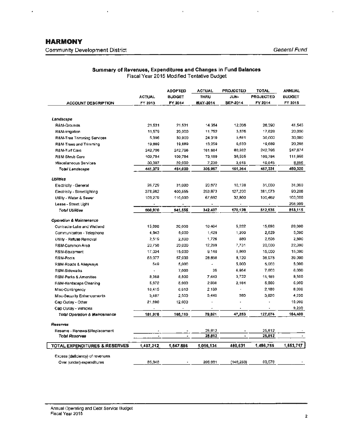# **HARMONY**  Community Development District General Fund

¥

 $\bar{\mathbf{r}}$ 

|                                          |               | <b>ADOPTED</b> | <b>ACTUAL</b>   | <b>PROJECTED</b> | <b>TOTAL</b>     | <b>ANNUAL</b> |
|------------------------------------------|---------------|----------------|-----------------|------------------|------------------|---------------|
|                                          | <b>ACTUAL</b> | <b>BUDGET</b>  | <b>THRU</b>     | JUN-             | <b>PROJECTED</b> | <b>BUDGET</b> |
| <b>ACCOUNT DESCRIPTION</b>               | FY 2013       | FY 2014        | <b>MAY-2014</b> | SEP-2014         | FY 2014          | FY 2015       |
| Landscape                                |               |                |                 |                  |                  |               |
| R&M-Grounds                              | 21,531        | 21,531         | 14,354          | 12,036           | 26,390           | 41,545        |
| R&M-irrigation                           | 11,579        | 20,000         | 11,752          | 5,876            | 17,628           | 20,000        |
| R&M-Tree Trimming Services               | 5.396         | 30,000         | 24,319          | 5,681            | 30,000           | 30,000        |
| R&M-Trees and Trimming                   | 19,889        | 19,689         | 13,259          | 6,630            | 19,689           | 20,286        |
| R&M-Turf Care                            | 242,796       | 242,796        | 161,864         | 60,932           | 242,796          | 247,674       |
| <b>R&amp;M-Shrub Care</b>                | 109,784       | 109,784        | 73,189          | 36,595           | 109,784          | 111,959       |
| Miscellaneous Services                   | 30,397        | 20,000         | 7,230           | 3,615            | 10,645           | 6,856         |
| Total Landscape                          | 441,372       | 464,000        | 305,967         | 151,364          | 457,331          | 480,320       |
| <b>Utilities</b>                         |               |                |                 |                  |                  |               |
| Electricity - General                    | 26,729        | 31,000         | 20,872          | 10,128           | 31,000           | 31,000        |
| Electricity - Streetlighting             | 378,962       | 400,555        | 253,873         | 127,200          | 381,073          | 90,206        |
| Utility - Water & Sewer                  | 103,279       | 110,000        | 67,662          | 32,800           | 100,462          | 100,000       |
| Lease - Street Light                     |               |                |                 |                  |                  | 298,909       |
| <b>Total Utilities</b>                   | 508,970       | 541,555        | 342,407         | 170,128          | 512,535          | 518,115       |
| <b>Operation &amp; Maintenance</b>       |               |                |                 |                  |                  |               |
| Contracts-Lake and Wetlend               | 15,696        | 20,000         | 10,464          | 5,232            | 15,696           | 20,000        |
| Communication - Telephone                | 4.543         | 5,000          | 1,429           | 1,200            | 2,629            | 5,000         |
| Utility - Refuse Removal                 | 2,519         | 2,500          | 1,726           | 880              | 2,606            | 2,500         |
| R&M-Common Area                          | 20,756        | 20,000         | 12,269          | 7,731            | 20,000           | 22,000        |
| R&M-Equipment                            | 17,004        | 15,000         | 9,140           | 5,860            | 15,000           | 15,000        |
| R&M-Pools                                | 63,077        | 57,000         | 28,856          | 8,120            | 36,978           | 39,000        |
| R&M-Roads & Alleyways                    | 549           | 5,000          | ä,              | 5,000            | 5,000            | 5,000         |
| R&M-Sidewalks                            |               | 7,000          | 36              | 6,964            | 7,000            | 6,000         |
| <b>R&amp;M-Parks &amp; Amenities</b>     | 8,368         | 8,500          | 7,443           | 3,722            | 11,165           | 8,500         |
| R&M-Hardscape Cleaning                   | 5,672         | 5,000          | 2,836           | 2,164            | 5,000            | 5,000         |
| Misc-Contingency                         | 18,415        | 6,610          | 2,180           | ¥,               | 2,180            | 8,000         |
| <b>Misc-Security Enhancements</b>        | 3,487         | 2,500          | 3,440           | 380              | 3,820            | 4,200         |
| Cap Outlay - Other                       | 21,690        | 12,000         |                 |                  |                  | 15,000        |
| Cap Outlay - Vehicles                    |               |                |                 |                  |                  | 9,200         |
| <b>Total Operation &amp; Maintenance</b> | 181,976       | 168,110        | 79,821          | 47,253           | 127,074          | 164,400       |
| Reserves                                 |               |                |                 |                  |                  |               |
| Reserve - Renewal&Replacement            |               |                | 25,812          |                  | 25,812           |               |
| <b>Total Reserves</b>                    | ٠             | ٠              | 25,812          |                  | 25,812           |               |
| <b>TOTAL EXPENDITURES &amp; RESERVES</b> | 1,407,212     | 1,547,886      | 1,016,134       | 480,631          | 1,496,765        | 1,553,717     |
| Excess (deficiency) of revenues          |               |                |                 |                  |                  |               |
| Over (under) expenditures                | 85,848        |                | 206,861         | (146, 283)       | 60,576           |               |

## **Summary of Revenues, Expenditures and Changes in Fund Balances**  Fiscal Year 2015 Modified Tentative Budget

 $\bar{1}$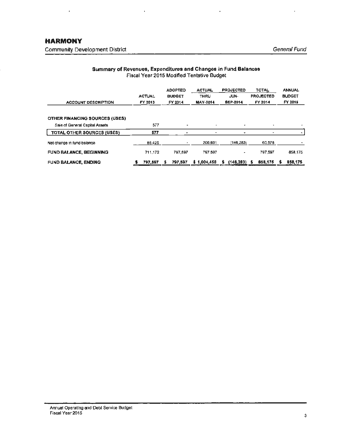J.

### **Summary of Revenues, Expenditures and Changes in Fund Balances**  Fiscal Year 2015 Modified Tentative Budget

l,

Ŷ.

| <b>ACCOUNT DESCRIPTION</b>            | <b>ACTUAL</b><br>FY 2013 | <b>ADOPTED</b><br><b>BUDGET</b><br>FY 2014 | <b>ACTUAL</b><br><b>THRU</b><br><b>MAY-2014</b> | <b>PROJECTED</b><br>JUN-<br><b>SEP-2014</b> | <b>TOTAL</b><br><b>PROJECTED</b><br>FY 2014 | <b>ANNUAL</b><br><b>BUDGET</b><br>FY 2015 |
|---------------------------------------|--------------------------|--------------------------------------------|-------------------------------------------------|---------------------------------------------|---------------------------------------------|-------------------------------------------|
| <b>OTHER FINANCING SOURCES (USES)</b> |                          |                                            |                                                 |                                             |                                             |                                           |
| Sale of General Capital Assets        | 577                      |                                            | ٠                                               | ٠                                           | ۰                                           |                                           |
| <b>TOTAL OTHER SOURCES (USES)</b>     | 577                      |                                            |                                                 | ٠                                           |                                             |                                           |
| Net change in fund balance            | 66,425                   | ٠                                          | 206,861                                         | (146, 283)                                  | 60,578                                      |                                           |
| <b>FUND BALANCE, BEGINNING</b>        | 711.172                  | 797,597                                    | 797.597                                         | ۰                                           | 797.597                                     | 858.175                                   |
| <b>FUND BALANCE, ENDING</b>           | 797.597                  | 797.597<br>х.                              | \$1,004,458                                     | $(146, 283)$ \$<br>s                        | 858,175                                     | 858,175                                   |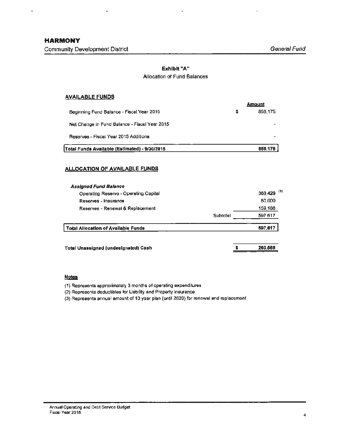J.

l,

## **Exhibit "A"**  Allocation of Fund Balances

### **AVAILABLE FUNDS**

|                                               | <b>Amount</b> |
|-----------------------------------------------|---------------|
| Beginning Fund Balance - Fiscal Year 2015     | 858,175       |
| Net Change in Fund Balance - Fiscal Year 2015 |               |
| Reserves - Fiscal Year 2015 Additions         |               |
| Total Funds Available (Estimated) - 9/30/2015 | 858,175       |

#### **ALLOCATION OF AVAILABLE FUNDS**

| <b>Assigned Fund Balance</b>                |                  |         |
|---------------------------------------------|------------------|---------|
| Operating Reserve - Operating Capital       | - (1)<br>388,429 |         |
| Reserves - Insurance                        |                  | 50,000  |
| Reserves - Renewal & Replacement            |                  | 159,188 |
|                                             | Subtotal         | 597,617 |
| <b>Total Aliocation of Available Funds</b>  |                  | 597,617 |
| <b>Total Unassigned (undesignated) Cash</b> |                  | 260,558 |

## **Notes**

(1) Represents approximately 3 months of operating expenditures

(2) Represents deductibles for Liability and Property insurance

(3) Represents annual amount of 10 year plan (until 2020} for renewal and replacement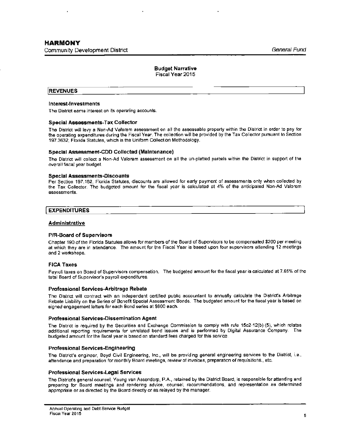#### **Budget Narrative** Fiscal Year 2015

#### **REVENUES**

#### **Interest-Investments**

The District earns interest on its operating accounts.

#### **Special Assessments-Tax Collector**

The District will levy a Non-Ad Valorem assessment on all the assessable property within the District in order to pay for the operating expenditures during the Fiscal Year. The collection will be provided by the Tax Collector pursuant to Section 197.3632, Florida Statutes, which is the Uniform Collection Methodology.

#### **Special Assessment-COD Collected (Maintenance)**

The District will collect a Non-Ad Valorem assessment on all the un-platted parcels within the District in support of the overall fiscal year budget.

#### **Special Assessments-Discounts**

Per Section 197,162, Florida Statutes, discounts are allowed for early payment of assessments only when collected by the Tax Collector. The budgeted amount for the fiscal year is calculated at 4% of the anticipated Non-Ad Valorem assessments,

#### **EXPENDITURES**

#### **Administrative**

#### **P/R-Board of Supervisors**

Chapter 190 of the Florida Statutes allows for members of the Board of Supervisors to be compensated \$200 per meeting at which they are in attendance. The amount for the Fiscal Year is based upon four supervisors attending 12 meetings and 2 workshops.

#### **FICA Taxes**

Payroll taxes on Board of Supervisors compensation. The budgeted amount for the fiscal year is calculated at 7 .65% of the total Board of Supervisor's payroll expenditures.

#### **Professional Services-Arbitrage Rebate**

The District will contract with an independent certified public accountant to annually calculate the District's Arbitrage Rebate Liability on the Series of Benefit Special Assessment Bonds, The budgeted amount for the fiscal year is based on signed engagement letters for each Bond series at \$600 each.

#### **Professional Services-Dissemination Agent**

The District is required by the Securities and Exchange Commission to comply with rule 15c2-12(b)-(5), which relates additional reporting requirements for unrelated bond issues and is performed by Digital Assurance Company. The budgeted amount for the fiscal year is based on standard fees charged for this service.

#### **Professional Services-Engineering**

The District's engineer, Boyd Civil Engineering, Inc., will be providing general engineering services to the District, i.e., attendance and preparation for monthly Board meetings, review of invoices, preparation of requisitions., etc.

#### **Professional Services-Legal Services**

The District's general counsel, Young van Assenderp, P.A., retained by the District Board, is responsible for attending and preparing for Board meetings and rendering advice, counsel, recommendations, and representation as determined appropriate or as directed by the Board directly or as relayed by the manager,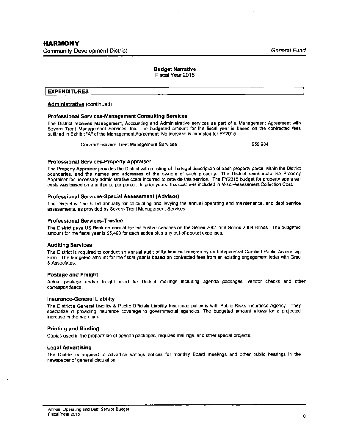#### **Budget** Narrative Fiscal Year 2015

**EXPENDITURES** 

#### **Administrative** (continued)

#### **Professional Services-Management** Consulting Services

The District receives Management, Accounting and Administrative services as part of a Management Agreement with Severn Trent Management Services, Inc. The budgeted amount for the fiscal year is based on the contracted fees outlined in Exhibit "A" of the Management Agreement. No increase is expected for FY2015.

Contract -Severn Trent Management Services \$55,984

#### **Professional Services-Property Appraiser**

The Property Appraiser provides the District with a listing of the legal description of each property parcel within the District boundaries, and the names and addresses of the owners of such property. The District reimburses the Property Appraiser for necessary administrative costs incurred to provide this service. The FY2015 budget for property appraiser costs was based on a unit price per parcel. In prior years, this cost was included in Mtsc.-Assessment Collection Cost.

#### **Professional Services-Special Assessment (Advisor)**

The District will be billed annually for calculating and levying the annual operating and maintenance, and debt service assessments, as provided by Severn Trent Management Services.

#### **Professional Services-Trustee**

The District pays US Bank an annual fee for trustee services on the Series 2001 and Series 2004 Bonds. The budgeted amount for the fiscal year is \$5,400 for each series plus any out-of-pocket expenses.

#### **Auditing Services**

The District is required to conduct an annual audit of its financial records by an Independent Certified Public Accounting Firm. The budgeted amount for the fiscal year is based on contracted fees from an existing engagement letter with Grau & Associates.

#### **Postage and Freight**

Actual poatage and/or freight used for District mailings including agenda packages, vendor checks and other correspondence.

#### **Insurance-General Liability**

The District's General Liability & Public Officials liability Insurance policy is with Public Risks Insurance Agency. They specialize in providing insurance coverage to governmental agencies. The budgeted amount allows for a projected increase in the premium.

#### **Printing and Binding**

Copies used in the preparation of agenda packages, required mailings, and other special projects.

#### **Legal Advertising**

The District is required to advertise various notices for monthly Board meetings and other public hearings in the newspaper of general circulation.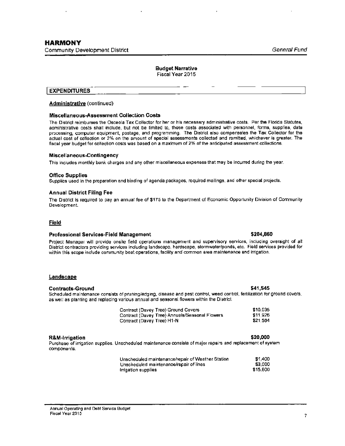#### **Budget Narrative**  Fiscal Year 2015

#### **EXPENDITURES**

#### **Administrative** (continued)

#### **Miscellaneous-Assessment Collection Costs**

The District reimburses the Osceola Tax Collector for her or his necessary administrative costs. Per **the** Florida Statutes, administrative costs shall include, but not be limited to, those costs associated with personnel, forms, supplies, data processing, computer equipment, postage, and programming. The District also compensates the Tax Collector for the actual cost of collection or 2% on the amount of special assessments collected and remitted, whichever is greater. The fiscal year budget for collection costs was based on a maximum of 2% of the anticipated assessment collections.

#### **Miscellaneous-Contingency**

This includes monthly bank charges and any other miscellaneous expenses that may be incurred during the year.

#### **Office Supplles**

Supplies used in the preparation and binding of agenda packages, required mailings, and other special projects.

#### **Annual District Filing Fee**

The District is required to pay an annual fee of \$175 to the Department of Economic Opportunity Division of Community Development.

#### Field

#### **Professional Services-Field Management \$204,860**

Project Manager will provide onsite field operations management and supervisory services, including oversight of all District contractors providing services including landscape, hardscape, stormwaterlponds, etc. Field services provided for within this scope include community boat operations, facility and common area maintenance and irrigation.

#### **Landscape**

#### **Contracts-Ground \$41,545**

Scheduled maintenance consists of pruning/edging, disease and pest control, weed control, fertilization for ground covers, as well as planting and replacing various annual and seasonal flowers within the District.

| Contract (Davey Tree) Ground Covers            | \$10,035 |
|------------------------------------------------|----------|
| Contract (Davey Tree) Annuals/Seasonal Flowers | \$11926  |
| Contract (Davey Tree) H1-N                     | \$21.584 |

#### **R&M-lrrigation \$20,000**

Purchase of irrigation supplies. Unscheduled maintenance consists of major repairs and replacement of system components.

| Unscheduled maintenance/repair of Weather Station | \$1,400  |
|---------------------------------------------------|----------|
| Unscheduled maintenance/repair of lines           | \$3.000  |
| irrigation supplies                               | \$15,600 |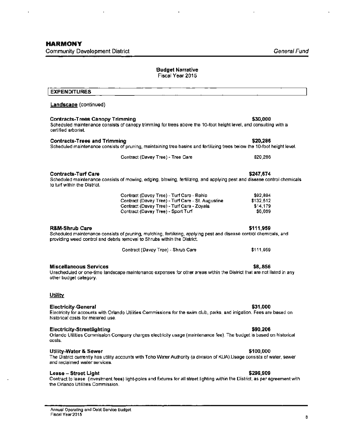$\ddot{\phantom{0}}$ 

 $\ddot{\phantom{0}}$ 

| <b>EXPENDITURES</b>                                               |                                                                                                                                                                                                |                                              |
|-------------------------------------------------------------------|------------------------------------------------------------------------------------------------------------------------------------------------------------------------------------------------|----------------------------------------------|
| <b>Landscape</b> (continued)                                      |                                                                                                                                                                                                |                                              |
| <b>Contracts-Trees Canopy Trimming</b><br>certified arborist.     | Scheduled maintenance consists of canopy trimming for trees above the 10-foot height level, and consulting with a                                                                              | \$30,000                                     |
| <b>Contracts-Trees and Trimming</b>                               | Scheduled maintenance consists of pruning, maintaining tree basins and fertilizing trees below the 10-foot height level.                                                                       | \$20,286                                     |
|                                                                   | Contract (Davey Tree) - Tree Care                                                                                                                                                              | \$20,266                                     |
| <b>Contracts-Turf Care</b><br>to turf within the District.        | Scheduled maintenance consists of mowing, edging, blowing, fertilizing, and applying pest and disease control chemicals                                                                        | \$247,674                                    |
|                                                                   | Contract (Davey Tree) - Turf Care - Bahia<br>Contract (Davey Tree) - Turf Care - St. Augustine<br>Contract (Davey Tree) - Turf Care - Zoyala<br>Contract (Davey Tree) - Sport Turf             | \$92,894<br>\$132,512<br>\$14,179<br>\$8,089 |
| <b>R&amp;M-Shrub Care</b>                                         | Scheduled maintenance consists of pruning, mulching, fertilizing, applying pest and disease control chemicals, and<br>providing weed control and debris removal to Shrubs within the District. | \$111,959                                    |
|                                                                   | Contract (Davey Tree) - Shrub Care                                                                                                                                                             | \$111,959                                    |
| <b>Miscellaneous Services</b><br>other budget category.           | Unscheduled or one-time landscape maintenance expenses for other areas within the District that are not listed in any                                                                          | \$8,856                                      |
| <b>Utility</b>                                                    |                                                                                                                                                                                                |                                              |
| <b>Electricity-General</b><br>historical costs for metered use.   | Electricity for accounts with Orlando Utilities Commissions for the swim club, parks, and irrigation. Fees are based on                                                                        | \$31,000                                     |
| <b>Electricity-Streetlighting</b><br>costs.                       | Orlando Utilities Commission Company charges electricity usage (maintenance fee). The budget is based on historical                                                                            | \$90,206                                     |
| <b>Utility-Water &amp; Sewer</b><br>and reclaimed water services. | The District currently has utility accounts with Toho Water Authority (a division of KUA).Usage consists of water, sewer                                                                       | \$100,000                                    |
| Lease - Street Light<br>the Orlando Utilities Commission.         | Contract to lease (investment fees) light-poles and fixtures for all street lighting within the District, as per agreement with                                                                | \$296,909                                    |
|                                                                   |                                                                                                                                                                                                |                                              |

**Budget Narrative**  Fiscal Year 2015

l,

l,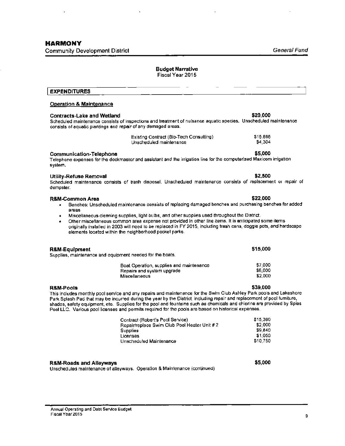# **Budget Narrative**

Fiscal **Year** 2015

# **EXPENDITURES**

### **Operation & Maintenance**

### **Contracts-Lake and Wetland \$20,000**

Scheduled maintenance consists of inspections and **treatment** of nuisance aquatic species. Unscheduled maintenance consists of aquatic plantings and repair of any damaged areas.

| Existing Contract (Bio-Tech Consulting). |  |
|------------------------------------------|--|
| Unscheduled maintenance                  |  |

#### **Communication-Telephone \$5,000**

Telephone expenses for the dockmaster and assistant and the irrigation line for the computerized Maxicom irrigation system.

#### **Utility-Refuse Removal \$2,500**

Scheduled maintenance consists of trash disposal. Unscheduled maintenance consists of replacement or repair of dumpster.

## **R&M-Common Area \$22,000**

- Benches: Unscheduled maintenance consists of replacing damaged benches and purchasing benches for added areas
- Miscellaneous cieaning supplies, light bulbs, and other supplies used throughout the District.
- Other miscellaneous common area expense not provided in other line items. It is anticipated some items originally Installed in 2003 will need to be replaced in FY 2015, including trash cans, doggie pots, and hardscape elements located within the neighborhood pocket parks.

| R&M-Equipment |                                                           | \$15,000 |
|---------------|-----------------------------------------------------------|----------|
|               | Supplies, maintenance and equipment needed for the boats. |          |
|               | Boat Operation, supplies and maintenance                  | \$7,000  |
|               | Repairs and system upgrade                                | \$6,000  |
|               | <b>Miscellaneous</b>                                      | \$2.000  |

#### **R&M-Pools \$39,000**

This includes monthly pool service and any repairs and maintenance for the Swim Club Ashley Park pools and Lakeshore Park Splash Pad that may be incurred during the year by the District, including repair and replacement of pool furniture, shades, safety equipment, etc. Supplies for the pool and fountains such as chemicals and chlorine are provided by Spies Pool LLC. Various pool licenses **and** permits required for the pools are based on historical expenses.

| Contract (Robert's Pool Service)             | \$15,360 |
|----------------------------------------------|----------|
| Repair/replace Swim Club Pool Heater Unit #2 | \$2,000  |
| <b>Supplies</b>                              | \$9,840  |
| Licenses                                     | \$1,050  |
| Unscheduled Maintenance                      | \$10.750 |

#### **R&M~Roads and Alleyways**

Unscheduled maintenance of alleyways. Operation & Maintenance (continued)

**\$5,000** 

\$15.696 \$4,304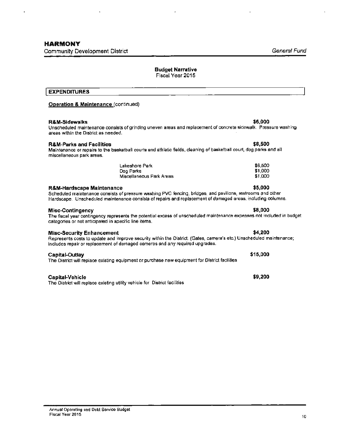### **Budget Narrative**

Fiscal Year 2015

# I **EXPENDITURES**

#### **Operation & Maintenance** (continued)

#### **R&M-Sidewalks \$6,000**

Unscheduled maintenance consists of grinding uneven areas and replacement of concrete sidewalk. Pressure washing areas within the District as needed.

#### **R&M-Parks and Facilities \$8,500**

#### Maintenance or repairs to the basketball courts and athletic fields, cleaning of basketball court, dog parks and all miscellaneous park areas.

| Lakeshore Park           | \$6,500 |
|--------------------------|---------|
| Dog Parks                | \$1,000 |
| Miscellaneous Park Areas | \$1.000 |

#### **R&M-Hardscape Maintenance \$5,000**

#### Scheduled maintenance consists of pressure washing PVC fencing, bridges, and pavilions, restrooms and other Hardscape. Unscheduled maintenance consists of repairs and replacement of damaged areas, including columns.

#### **Misc-Contingency \$8,000**

#### The fiscal year contingency represents the potential excess of unscheduled maintenance expenses not included in budget categories or not anticipated in specific line items.

#### **Misc-Security Enhancement**  $\bullet$  **\$4,200**

#### Represents costs to update and improve security within the District. (Gates, camera's etc.) Unscheduled maintenance; includes repair or replacement of damaged cameras and any required upgrades.

#### **Capital-Outlay**

#### The District will replace existing equipment or purchase new equipment for District facilities

#### **Capital-Vehicle**

The District will replace existing utility vehicle for District facilities

## \$6,500 \$1 ,000

## **\$15,000**

## **\$9,200**

Annual Operatiny and 0ebt Service Budget Fiscal Year 2015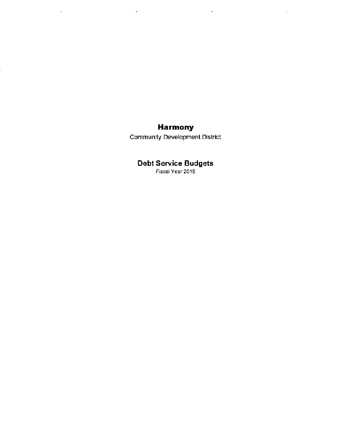# **Harmony**

 $\sim$   $\sim$ 

 $\mathcal{A}$ 

 $\sim 10^7$ 

 $\sim$ 

Community Development District

# **Debt Service Budgets**

Fiscal Year 2015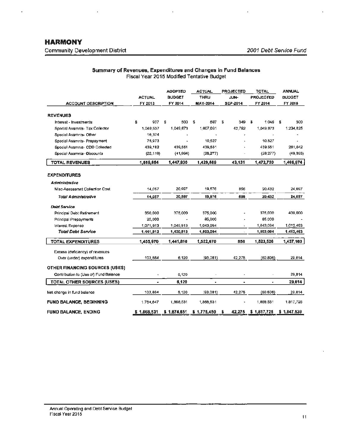l.

 $\ddot{\phantom{a}}$ 

l.

## **Summary of Revenues, Expenditures and Changes in** Fund **Balances**  Fiscal Year 2015 Modified Tentative Budget

J.

| <b>ACCOUNT DESCRIPTION</b>            | <b>ACTUAL</b><br>FY 2013 | <b>ADOPTED</b><br><b>BUDGET</b><br>FY 2014 | <b>ACTUAL</b><br>THRU<br><b>MAY-2014</b> | <b>PROJECTED</b><br>JUN-<br>SEP-2014 | <b>TOTAL</b><br><b>PROJECTED</b><br>FY 2014 | <b>ANNUAL</b><br><b>BUDGET</b><br>FY 2015 |  |
|---------------------------------------|--------------------------|--------------------------------------------|------------------------------------------|--------------------------------------|---------------------------------------------|-------------------------------------------|--|
| <b>REVENUES</b>                       |                          |                                            |                                          |                                      |                                             |                                           |  |
| Interest - Investments                | \$<br>907                | \$<br>500                                  | \$<br>697                                | S.<br>349                            | 3<br>1.046                                  | 500<br>£                                  |  |
| Special Assmnts- Tax Collector        | 1,049.537                | 1,049,673                                  | 1,007,091                                | 42.782                               | 1,049,873                                   | 1,234,825                                 |  |
| Special Assmnts- Other                | 16,374                   |                                            |                                          |                                      |                                             |                                           |  |
| Special Assmnts- Prepayment           | 75,973                   |                                            | 10,527                                   |                                      | 10,527                                      |                                           |  |
| Special Assmnts- CDD Collected        | 439,182                  | 439,551                                    | 439,551                                  |                                      | 439,551                                     | 261,042                                   |  |
| Special Assmnta-Oiscounts             | (22, 119)                | (41,994)                                   | (28, 277)                                |                                      | (28, 277)                                   | (49, 393)                                 |  |
| <b>TOTAL REVENUES</b>                 | 1,559,854                | 1,447,930                                  | 1,429,569                                | 43,131                               | 1,472,720                                   | 1,466,974                                 |  |
| <b>EXPENDITURES</b>                   |                          |                                            |                                          |                                      |                                             |                                           |  |
| Administrative                        |                          |                                            |                                          |                                      |                                             |                                           |  |
| <b>Misc-Assessmnt Collection Cost</b> | 14,057                   | 20.997                                     | 19,576                                   | 856                                  | 20.432                                      | 24,697                                    |  |
| Total Administrative                  | 14,057                   | 20,997                                     | 19,576                                   | 656                                  | 20,432                                      | 24,697                                    |  |
| <b>Debt Service</b>                   |                          |                                            |                                          |                                      |                                             |                                           |  |
| <b>Principal Debt Retirement</b>      | 350,000                  | 375,000                                    | 375,000                                  |                                      | 375,000                                     | 400,000                                   |  |
| Principal Prepayments                 | 20,000                   |                                            | 85,000                                   |                                      | 85,000                                      |                                           |  |
| Interest Expense                      | 1,071,913                | 1,045,813                                  | 1,043,094                                | ٠                                    | 1,043,094                                   | 1,012,463                                 |  |
| <b>Total Debt Service</b>             | 1,441,913                | 1,420,813                                  | 1,503,094                                | $\overline{\phantom{a}}$             | 1,503,094                                   | 1,412,463                                 |  |
| <b>TOTAL EXPENDITURES</b>             | 1,455,970                | 1,441,810                                  | 1,522,670                                | 856                                  | 1,523,526                                   | 1,437,160                                 |  |
| Excess (deficiency) of revenues       |                          |                                            |                                          |                                      |                                             |                                           |  |
| Over (under) expenditures             | 103,864                  | 6,120                                      | (93,061)                                 | 42,275                               | (50,806)                                    | 29,814                                    |  |
| <b>OTHER FINANCING SOURCES (USES)</b> |                          |                                            |                                          |                                      |                                             |                                           |  |
| Contribution to (Use of) Fund Balance |                          | 6,120                                      |                                          |                                      |                                             | 29,814                                    |  |
| <b>TOTAL OTHER SOURCES (USES)</b>     | ٠                        | 6,120                                      | ٠                                        | $\bullet$                            | ٠                                           | 29,814                                    |  |
| Net change in fund balance            | 103,884                  | 6,120                                      | (93, 081)                                | 42,275                               | (50,606)                                    | 29,814                                    |  |
| <b>FUND BALANCE, BEGINNING</b>        | 1,764,647                | 1,868,531                                  | 1,868,531                                | ٠                                    | 1,868,531                                   | 1,817,725                                 |  |
| <b>FUND BALANCE, ENDING</b>           | \$1,868,531              | \$1.674.651                                | \$1,775,450                              | 42.275<br>s                          | \$1,817,725                                 | \$1.847.539                               |  |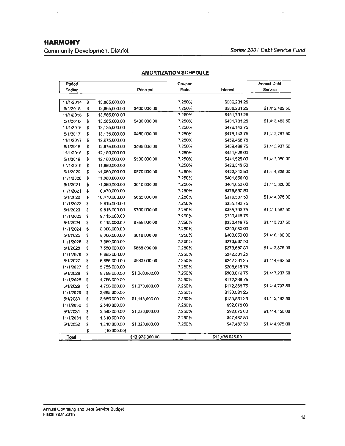# **HARMONY**

 $\epsilon$ 

Community Development District

ţ.

| Period    |                             |               |                 | Coupon |                 | <b>Annual Debt</b> |
|-----------|-----------------------------|---------------|-----------------|--------|-----------------|--------------------|
| Ending    |                             |               | Principal       | Rate   | Interest        | Service            |
|           |                             |               |                 |        |                 |                    |
| 11/1/2014 | $\overline{\boldsymbol{s}}$ | 13,965,000.00 |                 | 7.250% | \$506,231.25    |                    |
| 5/1/2015  | \$                          | 13,965,000.00 | \$400,000.00    | 7.250% | \$506,231.25    | \$1,412,462.50     |
| 11/1/2015 | \$                          | 13,565,000.00 |                 | 7.250% | \$491,731.25    |                    |
| 5/1/2016  | \$                          | 13,565,000.00 | \$430,000,00    | 7.250% | \$491,731.25    | \$1,413,462.50     |
| 11/1/2016 | \$                          | 13,135,000.00 |                 | 7.250% | \$476,143.75    |                    |
| 5/1/2017  | \$                          | 13,135,000.00 | \$460,000.00    | 7.250% | \$476,143.75    | \$1,412,287.50     |
| 11/1/2017 | \$                          | 12,675,000.00 |                 | 7.250% | \$459,466.75    |                    |
| 5/1/2018  | \$                          | 12,675,000,00 | \$495,000.00    | 7.250% | \$459,468.75    | \$1,413,937.50     |
| 11/1/2018 | \$                          | 12,180,000.00 |                 | 7.250% | \$441,525.00    |                    |
| 5/1/2019  | \$                          | 12,180,000.00 | \$530,000.00    | 7.250% | \$441,525.00    | \$1,413,050.00     |
| 11/1/2019 | \$                          | 11,650,000,00 |                 | 7.250% | \$422,312.50    |                    |
| 5/1/2020  | \$                          | 11,650,000.00 | \$570,000.00    | 7.250% | \$422,312.50    | \$1,414,625.00     |
| 11/1/2020 | \$                          | 11,080,000.00 |                 | 7.250% | \$401,650.00    |                    |
| 5/1/2021  | \$                          | 11,080,000.00 | \$610,000.00    | 7.250% | \$401,650.00    | \$1,413,300.00     |
| 11/1/2021 | \$                          | 10,470,000.00 |                 | 7.250% | \$379,537.50    |                    |
| 5/1/2022  | \$                          | 10,470,000.00 | \$655,000.00    | 7.250% | \$379,537.50    | \$1,414,075.00     |
| 11/1/2022 | \$                          | 9,815,000.00  |                 | 7.250% | \$355,793,75    |                    |
| 5/1/2023  | \$                          | 9,615,000.00  | \$700,000.00    | 7.250% | \$355,793.75    | \$1,411,587.50     |
| 11/1/2023 | \$                          | 9,115,000.00  |                 | 7.250% | \$330,418.75    |                    |
| 5/1/2024  | \$                          | 9,115,000.00  | \$755,000.00    | 7.250% | \$330,418.75    | \$1,415,837.50     |
| 11/1/2024 | \$                          | 8,360,000.00  |                 | 7.250% | \$303,050.00    |                    |
| 5/1/2025  | \$                          | 8,360,000.00  | \$810,000.00    | 7.250% | \$303,050.00    | \$1,416,100.00     |
| 11/1/2025 | \$                          | 7,550,000.00  |                 | 7.250% | \$273,687.50    |                    |
| 5/1/2026  | \$                          | 7,550,000.00  | \$865,000.00    | 7.250% | \$273,687.50    | \$1,412,375.00     |
| 11/1/2026 | \$                          | 6,685,000.00  |                 | 7.250% | \$242,331.25    |                    |
| 5/1/2027  | \$                          | 6,685,000.00  | \$930,000.00    | 7.250% | \$242,331.25    | \$1,414,662.50     |
| 11/1/2027 | \$                          | 5,755,000.00  |                 | 7.250% | \$208,618.75    |                    |
| 5/1/2028  | \$                          | 5,755,000.00  | \$1,000,000.00  | 7.250% | \$208,616.75    | \$1,417,237.50     |
| 11/1/2028 | \$                          | 4,755,000.00  |                 | 7.250% | \$172,368.75    |                    |
| 5/1/2029  | \$                          | 4,755,000.00  | \$1,070,000.00  | 7.250% | \$172.368.75    | \$1,414,737.50     |
| 11/1/2029 | 5                           | 3,685,000.00  |                 | 7.250% | \$133,561.25    |                    |
| 5/1/2030  | \$                          | 3,685,000.00  | \$1,145,000.00  | 7.250% | \$133,581.25    | \$1,412,162.50     |
| 11/1/2030 | \$                          | 2,540,000.00  |                 | 7.250% | \$92,075.00     |                    |
| 5/1/2031  | \$                          | 2,540,000.00  | \$1,230,000.00  | 7,250% | \$92,075.00     | \$1,414,150.00     |
| 11/1/2031 | \$                          | 1,310,000.00  |                 | 7.250% | \$47,487.50     |                    |
| 5/1/2032  | \$                          | 1,310,000.00  | \$1,320,000.00  | 7.250% | \$47,467.50     | \$1,414,975.00     |
|           | \$                          | (10,000.00)   |                 |        |                 |                    |
| Total     |                             |               | \$13,975,000.00 |        | \$11,476.025.00 |                    |

## **AMORTIZATION SCHEDULE**

 $\bar{r}$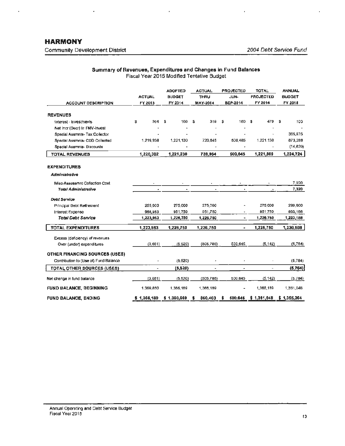l,

Ŷ.

t,

 $\mathbf{r}$ 

## **Summary of Revenues, Expenditures and Changes in** Fund **Balances**  Fiscal Year 2015 Modified Tentative Budget

 $\overline{\phantom{a}}$ 

| <b>ACCOUNT DESCRIPTION</b>            | <b>ACTUAL</b><br>FY 2013 | <b>ADOPTED</b><br><b>BUDGET</b><br>FY 2014 | <b>ACTUAL</b><br><b>THRU</b><br><b>MAY-2014</b> | <b>PROJECTED</b><br>JUN-<br><b>SEP-2014</b> | <b>TOTAL</b><br><b>PROJECTED</b><br>FY 2014 | <b>ANNUAL</b><br><b>BUDGET</b><br>FY 2015 |  |  |
|---------------------------------------|--------------------------|--------------------------------------------|-------------------------------------------------|---------------------------------------------|---------------------------------------------|-------------------------------------------|--|--|
| <b>REVENUES</b>                       |                          |                                            |                                                 |                                             |                                             |                                           |  |  |
| Interest - Investments                | 2<br>364                 | 100<br>\$                                  | £.<br>319                                       | 160<br>s                                    | 479<br>S                                    | 100<br>s                                  |  |  |
| Net Incr (Decr) In FMV-Invest         |                          |                                            |                                                 |                                             |                                             |                                           |  |  |
| Special Assmnts- Tax Collector        |                          |                                            |                                                 |                                             |                                             | 365,975                                   |  |  |
| Special Assmnta- CDD Collected        | 1,219,938                | 1,221,130                                  | 720.645                                         | 500.485                                     | 1,221,130                                   | 873,288                                   |  |  |
| Special Assmnts- Discounts            |                          |                                            |                                                 | ٠                                           |                                             | (14, 639)                                 |  |  |
| <b>TOTAL REVENUES</b>                 | 1,220,302                | 1,221,230                                  | 720,964                                         | 500,845                                     | 1,221,609                                   | 1,224,724                                 |  |  |
| <b>EXPENDITURES</b>                   |                          |                                            |                                                 |                                             |                                             |                                           |  |  |
| Administrative                        |                          |                                            |                                                 |                                             |                                             |                                           |  |  |
| Misc-Assessmnt Collection Cost        |                          |                                            |                                                 |                                             |                                             | 7,320                                     |  |  |
| Total Administrative                  | ٠                        | ۰                                          | $\bullet$                                       | ٠                                           |                                             | 7,320                                     |  |  |
| <b>Debt Service</b>                   |                          |                                            |                                                 |                                             |                                             |                                           |  |  |
| Principal Debt Retirement             | 255,000                  | 275,000                                    | 275,000                                         |                                             | 275,000                                     | 290,000                                   |  |  |
| Interest Expense                      | 968,963                  | 951.750                                    | 951,750                                         |                                             | 951,750                                     | 933,186                                   |  |  |
| <b>Total Debt Service</b>             | 1,223,963                | 1,226,750                                  | 1,226,750                                       | ٠                                           | 1,226,750                                   | 1,223,188                                 |  |  |
| <b>TOTAL EXPENDITURES</b>             | 1,223,963                | 1,226,750                                  | 1,226,750                                       | $\tilde{\phantom{a}}$                       | 1,226,750                                   | 1,230,508                                 |  |  |
| Excess (deficiency) of revenues       |                          |                                            |                                                 |                                             |                                             |                                           |  |  |
| Over (under) expenditures             | (3,661)                  | (5,520)                                    | (505, 786)                                      | 500,645                                     | (5, 142)                                    | (5, 784)                                  |  |  |
| <b>OTHER FINANCING SOURCES (USES)</b> |                          |                                            |                                                 |                                             |                                             |                                           |  |  |
| Contribution to (Use of) Fund Balance |                          | (5,520)                                    |                                                 |                                             |                                             | (5,784)                                   |  |  |
| TOTAL OTHER SOURCES (USES)            |                          | (5,520)                                    | ٠                                               |                                             |                                             | (5, 764)                                  |  |  |
| Net change in fund balance            | (3,681)                  | (5, 520)                                   | (505, 786)                                      | 500,645                                     | (5, 142)                                    | (6.784)                                   |  |  |
| <b>FUND BALANCE, BEGINNING</b>        | 1,369,850                | 1,366,189                                  | 1,366,189                                       | ۰                                           | 1,366,189                                   | 1,361,048                                 |  |  |
| <b>FUND BALANCE, ENDING</b>           | \$1,366,189              | \$1,360,669                                | 860.403<br>5                                    | s                                           | 500.645 \$ 1,361,048                        | \$1,355,264                               |  |  |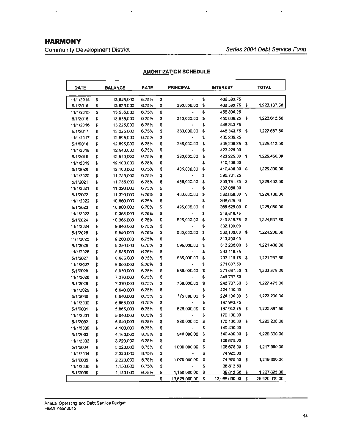# **HARMONY**

 $\ddot{\phantom{a}}$ 

Community Development District

 $\overline{1}$ 

 $\cdot$ 

| DATE                  |          | <b>BALANCE</b>           | RATE           |          | <b>PRINCIPAL</b> |          | <b>INTEREST</b>          |    | <b>TOTAL</b>  |
|-----------------------|----------|--------------------------|----------------|----------|------------------|----------|--------------------------|----|---------------|
|                       |          |                          | 6.75%          |          |                  | \$       | 466,593.75               |    |               |
| 11/1/2014<br>5/1/2015 | \$<br>\$ | 13,825,000<br>13,825,000 | 6.75%          | \$<br>\$ | 290,000.00       | \$       | 466,593.75               | \$ | 1,223,187.50  |
| 11/1/2015             | \$       | 13,535,000               | 6.75%          | \$       |                  | \$       | 456,806.25               |    |               |
| 5/1/2018              | \$       | 13,535,000               | 6.75%          | S        | 310,000.00       | \$       | 456,806.25               | \$ | 1,223,612.50  |
| 11/1/2016             | \$       | 13,225,000               | 6.75%          | \$       |                  | \$       | 446,343.75               |    |               |
| 5/1/2017              | \$       | 13,225,000               | 6.75%          | \$       | 330,000.00       | \$       | 446,343.75               | \$ | 1,222,687.50  |
| 11/1/2017             | \$       | 12,895,000               | 6.75%          | s        |                  | \$       | 435,206.25               |    |               |
| 5/1/2016              | \$       | 12,895,000               | 6.75%          | \$       | 355,000.00       | \$       | 435,206.25               | \$ | 1,225,412.50  |
| 11/1/2018             | \$       | 12,540,000               | 6.75%          | \$       |                  | \$       | 423,225.00               |    |               |
| 5/1/2019              | \$       | 12,540,000               | 6.75%          | \$       | 380,000.00       | \$       | 423,225.00               | \$ | 1,226,450.00  |
| 11/1/2019             | \$       | 12,160,000               | 6.75%          | \$       |                  | \$       | 410,400.00               |    |               |
| 5/1/2020              | \$       | 12,160,000               | 6.75%          | \$       | 405,000.00       | \$       | 410,400.00               | \$ | 1,225,800.00  |
| 11/1/2020             | \$       | 11,755,000               | 6.75%          | \$       |                  | \$       | 396,731.25               |    |               |
| 5/1/2021              | \$       | 11,755,000               | 6.75%          | \$       | 435,000.00       | \$       | 396,731.25               | \$ | 1,228,462.50  |
| 11/1/2021             | \$       | 11,320,000               | 6.75%          | \$       |                  | \$       | 382,050.00               |    |               |
| 5/1/2022              | \$       | 11,320,000               | 6.75%          | \$       | 460,000.00       | \$       | 382,050.00               | \$ | 1,224,100.00  |
| 11/1/2022             | \$       | 10,860,000               | 6.75%          | \$       |                  | \$       | 366,525.00               |    |               |
| 5/1/2023              | \$       | 10,860,000               | 6.75%          | \$       | 495,000.00       | s        | 366,525.00               | \$ | 1,228,050,00  |
| 11/1/2023             | \$       | 10.365.000               | 6.75%          | \$       |                  | Ś        | 349,818.75               |    |               |
| 5/1/2024              | \$       | 10,365,000               | 6.75%          | \$       | 525,000.00       | \$       | 349,818.75               | \$ | 1,224,637.50  |
| 11/1/2024             | \$       | 9,840,000                | 6.75%          | \$       |                  | \$       | 332,100.00               |    |               |
| 5/1/2025              | \$       | 9,840,000                | 6.75%          | \$       | 560,000.00       | \$       | 332,100.00               | \$ | 1,224,200.00  |
| 11/1/2025             | \$       | 9,280,000                | 6.75%          | \$       |                  | \$       | 313,200.00               |    |               |
| 5/1/2026              | \$       | 9,280,000                | 6.75%          | \$       | 595,000,00       | \$       | 313,200.00               | \$ | 1,221,400.00  |
| 11/1/2026             | \$       | 8,685,000                | 6.75%          | \$       |                  | \$       | 293,116.75               |    |               |
| 5/1/2027              | \$       | 8,685,000                | 0.75%          | \$       | 635,000.00       | \$       | 293,118.75               | \$ | 1,221,237.50  |
| 11/1/2027             | \$       | 6,050,000                | 8.75%          | \$       |                  | \$       | 271,687.50               |    |               |
| 5/1/2028              | \$       | 8,050,000                | 6.75%          | \$       | 680,000.00       | \$       | 271,687.50               | \$ | 1,223,375.00  |
| 11/1/2028             | \$       | 7,370,000                | 6.75%          | \$       |                  | \$       | 248,737.50               |    |               |
| 5/1/2029              | \$       | 7,370,000                | 6.75%          | \$       | 730,000.00       | \$       | 248,737.50               | \$ | 1,227,475.00  |
| 11/1/2029             | \$       | 6,640,000                | 6.75%          | \$       |                  | \$       | 224,100.00               |    |               |
| 5/1/2030              | \$       | 6,640,000                | 0.75%          | \$       | 775,000.00       | \$       | 224,100.00               | \$ | 1,223,200.00  |
| 11/1/2030             | \$       | 5,865,000                | 6.75%          | \$       |                  | \$       | 197,943.75               |    |               |
| 5/1/2031              | \$       | 5,865,000                | 0.75%          | \$       | 825,000.00       | \$       | 197,943.75               | \$ | 1,220,887.50  |
| 11/1/2031             | \$       | 5,040,000                | 6.75%          | \$       |                  | \$       | 170,100.00               |    |               |
| 5/1/2032              | \$       | 5,040,000                | 6.75%          | \$       | 880,000.00       | s        | 170,100.00               | 5  | 1,220,200.00  |
| 11/1/2032             | \$       | 4,160,000                | 0.75%          | \$       |                  | \$       | 140,400.00               |    | 1,220,800.00  |
| 5/1/2033              | \$       | 4,160,000                | 6.75%          | \$       | 940,000.00       | \$       | 140,400.00<br>108,675.00 |    |               |
| 11/1/2033             | \$       | 3,220,000                | 6.75%          | \$       | 1,000,000.00     | \$<br>\$ | 108,675.00               | \$ | 1,217,350.00  |
| 5/1/2034              | \$       | 3,220,000                | 6.75%<br>6.75% | \$       |                  | s        | 74,925.00                |    |               |
| 11/1/2034<br>5/1/2035 | \$<br>\$ | 2,220,000<br>2,220,000   | 6.75%          | \$<br>\$ | 1,070,000.00     | \$       | 74,925.00                | \$ | 1,219,850.00  |
| 11/1/2035             | \$       | 1,150,000                | 6.75%          | \$       |                  | s        | 36,812.50                |    |               |
| 5/1/2036              | \$       | 1,150,000                | 0.75%          | \$       | 1,150,000.00     | \$       | 38,812.50                | \$ | 1,227,625,00  |
|                       |          |                          |                | \$       | 13,625,000.00    | \$       | 13,095,000.00            | \$ | 26,920,000.00 |
|                       |          |                          |                |          |                  |          |                          |    |               |

## **AMORTIZATION** SCHEDULE

k.

Annual Operating and Debt Service Budget Fiscal Year 2015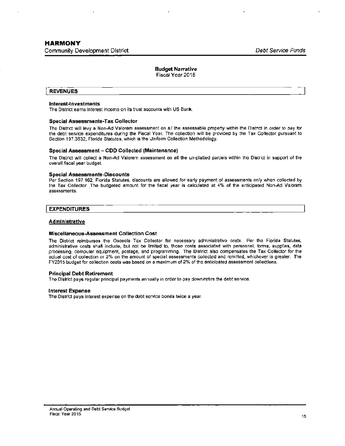# **Budget Narrative**

Fiscal Year 2015

#### **REVENUES**

#### **Interest-Investments**

The District earns interest income on its trust accounts with US Bank.

#### **Special Assessments-Tax Collector**

The District will levy a Non-Ad Valorem assessment on all the assessable property within the District in order to pay for the debt service expenditures during the Fiscal Year. The collection will be provided by the Tax Collector pursuant to Section 197 .3632, Florida Statutes, which is the Uniform Collection Methodology.

#### **Special Assessment** - **COD Collected (Maintenance)**

The District will collect a Non-Ad Valorem assessment on all the un-platted parcels within the District in support of the overall fiscal year budget.

#### **Special Assessments-Discounts**

Per Seclion 197.162, Florida Statutes, discounts are allowed for early payment of assessments only when collected by the Tax Collector. The budgeted amount for the fiscal year is calculated at 4% of the anticipated Non-Ad Valorem assessments.

#### **EXPENDITURES**

#### **Administrative**

#### **Miscellaneous-Assessment Collection Cost**

The District reimburses the Osceola Tax Collector for necessary administrative costs. Per the Florida Statutes, administrative costs shall include, but not be limited to, those costs associated with personnel, forms, supplies, data processing, computer equipment, postage, and programming. The District also compensates the Tax Collector for the actual cost of collection or 2% on the amount of special assessments collected and remitted, whichever is greater. The FY2015 budget for collection costs was based on a maximum of 2% of the anticipated assessment collections.

#### **Principal Debt Retirement**

The District pays regular principal payments annually in order to pay down/retire the debt service.

#### **Interest Expense**

The District pays interest expense on the debt service bonds twice a year.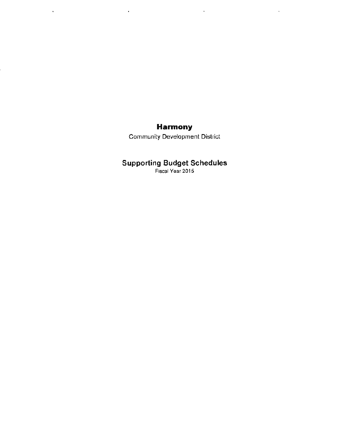# **Harmony**

 $\sim 100$ 

 $\sim 10^7$ 

 $\sim 10$ 

 $\mathcal{L}^{\pm}$ 

Community Development District

# **Supporting Budget Schedules**

Fiscal Year 2015